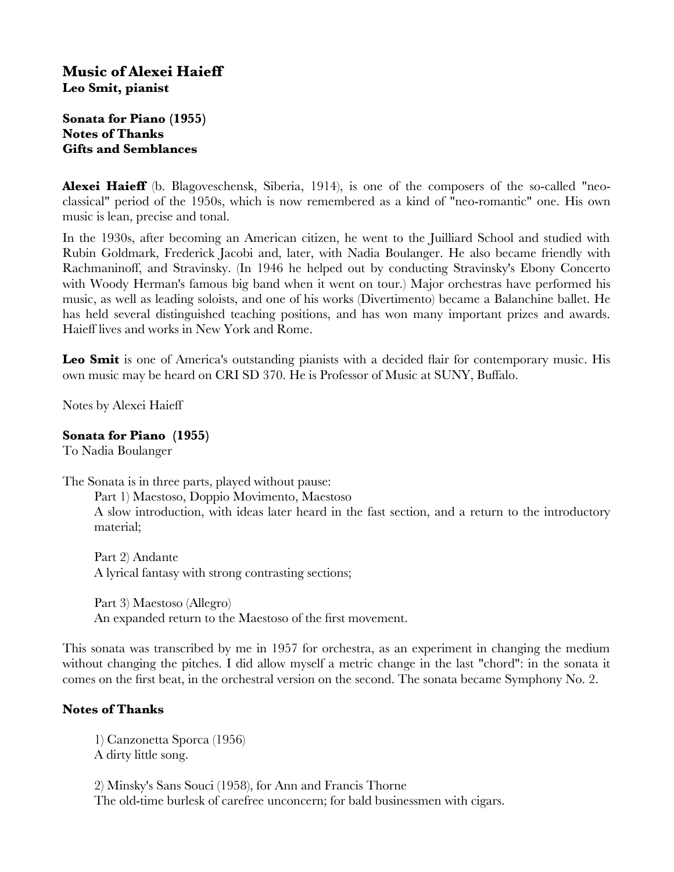# **Music of Alexei Haieff Leo Smit, pianist**

## **Sonata for Piano (1955) Notes of Thanks Gifts and Semblances**

**Alexei Haieff** (b. Blagoveschensk, Siberia, 1914), is one of the composers of the so-called "neoclassical" period of the 1950s, which is now remembered as a kind of "neo-romantic" one. His own music is lean, precise and tonal.

In the 1930s, after becoming an American citizen, he went to the Juilliard School and studied with Rubin Goldmark, Frederick Jacobi and, later, with Nadia Boulanger. He also became friendly with Rachmaninoff, and Stravinsky. (In 1946 he helped out by conducting Stravinsky's Ebony Concerto with Woody Herman's famous big band when it went on tour.) Major orchestras have performed his music, as well as leading soloists, and one of his works (Divertimento) became a Balanchine ballet. He has held several distinguished teaching positions, and has won many important prizes and awards. Haieff lives and works in New York and Rome.

Leo **Smit** is one of America's outstanding pianists with a decided flair for contemporary music. His own music may be heard on CRI SD 370. He is Professor of Music at SUNY, Buffalo.

Notes by Alexei Haieff

#### **Sonata for Piano (1955)**

To Nadia Boulanger

The Sonata is in three parts, played without pause:

Part 1) Maestoso, Doppio Movimento, Maestoso

A slow introduction, with ideas later heard in the fast section, and a return to the introductory material;

Part 2) Andante A lyrical fantasy with strong contrasting sections;

Part 3) Maestoso (Allegro) An expanded return to the Maestoso of the frst movement.

This sonata was transcribed by me in 1957 for orchestra, as an experiment in changing the medium without changing the pitches. I did allow myself a metric change in the last "chord": in the sonata it comes on the frst beat, in the orchestral version on the second. The sonata became Symphony No. 2.

# **Notes of Thanks**

1) Canzonetta Sporca (1956) A dirty little song.

2) Minsky's Sans Souci (1958), for Ann and Francis Thorne The old-time burlesk of carefree unconcern; for bald businessmen with cigars.